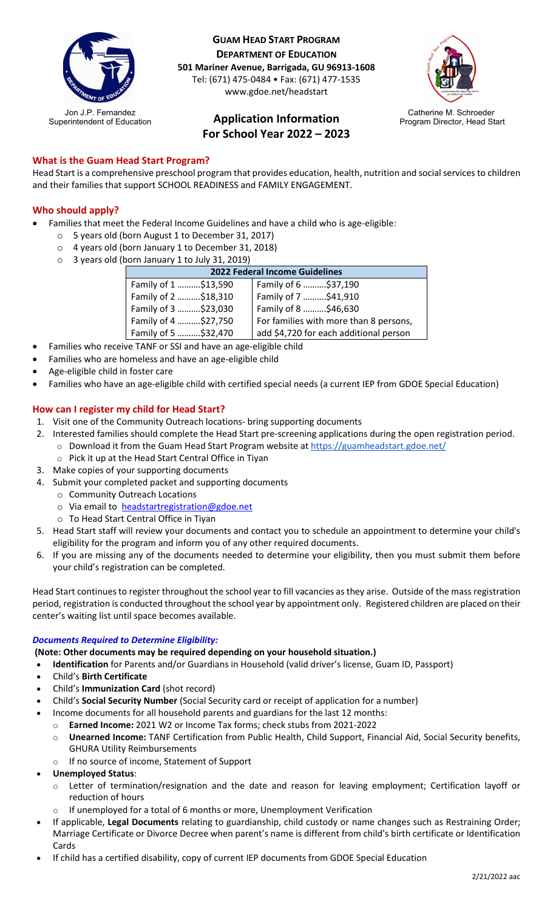

**GUAM HEAD START PROGRAM DEPARTMENT OF EDUCATION 501 Mariner Avenue, Barrigada, GU 96913-1608** Tel: (671) 475-0484 • Fax: (671) 477-1535 www.gdoe.net/headstart

# **Application Information For School Year 2022 – 2023**



# **What is the Guam Head Start Program?**

Head Start is a comprehensive preschool program that provides education, health, nutrition and social services to children and their families that support SCHOOL READINESS and FAMILY ENGAGEMENT.

## **Who should apply?**

- Families that meet the Federal Income Guidelines and have a child who is age-eligible:
	- o 5 years old (born August 1 to December 31, 2017)
	- o 4 years old (born January 1 to December 31, 2018)
	- o 3 years old (born January 1 to July 31, 2019)

| 2022 Federal Income Guidelines |                                        |
|--------------------------------|----------------------------------------|
| Family of 1 \$13,590           | Family of 6 \$37,190                   |
| Family of 2 \$18,310           | Family of 7 \$41,910                   |
| Family of 3 \$23,030           | Family of 8 \$46,630                   |
| Family of 4 \$27,750           | For families with more than 8 persons, |
| Family of 5 \$32,470           | add \$4,720 for each additional person |

- Families who receive TANF or SSI and have an age-eligible child
- Families who are homeless and have an age-eligible child
- Age-eligible child in foster care
- Families who have an age-eligible child with certified special needs (a current IEP from GDOE Special Education)

## **How can I register my child for Head Start?**

- 1. Visit one of the Community Outreach locations- bring supporting documents
- 2. Interested families should complete the Head Start pre-screening applications during the open registration period. o Download it from the Guam Head Start Program website at<https://guamheadstart.gdoe.net/>
	- o Pick it up at the Head Start Central Office in Tiyan
- 3. Make copies of your supporting documents
- 4. Submit your completed packet and supporting documents
	- o Community Outreach Locations
	- o Via email to [headstartregistration@gdoe.net](mailto:headstartregistration@gdoe.net)
	- o To Head Start Central Office in Tiyan
- 5. Head Start staff will review your documents and contact you to schedule an appointment to determine your child's eligibility for the program and inform you of any other required documents.
- 6. If you are missing any of the documents needed to determine your eligibility, then you must submit them before your child's registration can be completed.

Head Start continues to register throughout the school year to fill vacancies as they arise. Outside of the mass registration period, registration is conducted throughout the school year by appointment only. Registered children are placed on their center's waiting list until space becomes available.

#### *Documents Required to Determine Eligibility:*

**(Note: Other documents may be required depending on your household situation.)**

• **Identification** for Parents and/or Guardians in Household (valid driver's license, Guam ID, Passport)

- Child's **Birth Certificate**
- Child's **Immunization Card** (shot record)
- Child's **Social Security Number** (Social Security card or receipt of application for a number)
	- Income documents for all household parents and guardians for the last 12 months:
		- o **Earned Income:** 2021 W2 or Income Tax forms; check stubs from 2021-2022
		- o **Unearned Income:** TANF Certification from Public Health, Child Support, Financial Aid, Social Security benefits, GHURA Utility Reimbursements
		- o If no source of income, Statement of Support
- **Unemployed Status**:
	- o Letter of termination/resignation and the date and reason for leaving employment; Certification layoff or reduction of hours
	- $\circ$  If unemployed for a total of 6 months or more, Unemployment Verification
- If applicable, **Legal Documents** relating to guardianship, child custody or name changes such as Restraining Order; Marriage Certificate or Divorce Decree when parent's name is different from child's birth certificate or Identification Cards
- If child has a certified disability, copy of current IEP documents from GDOE Special Education